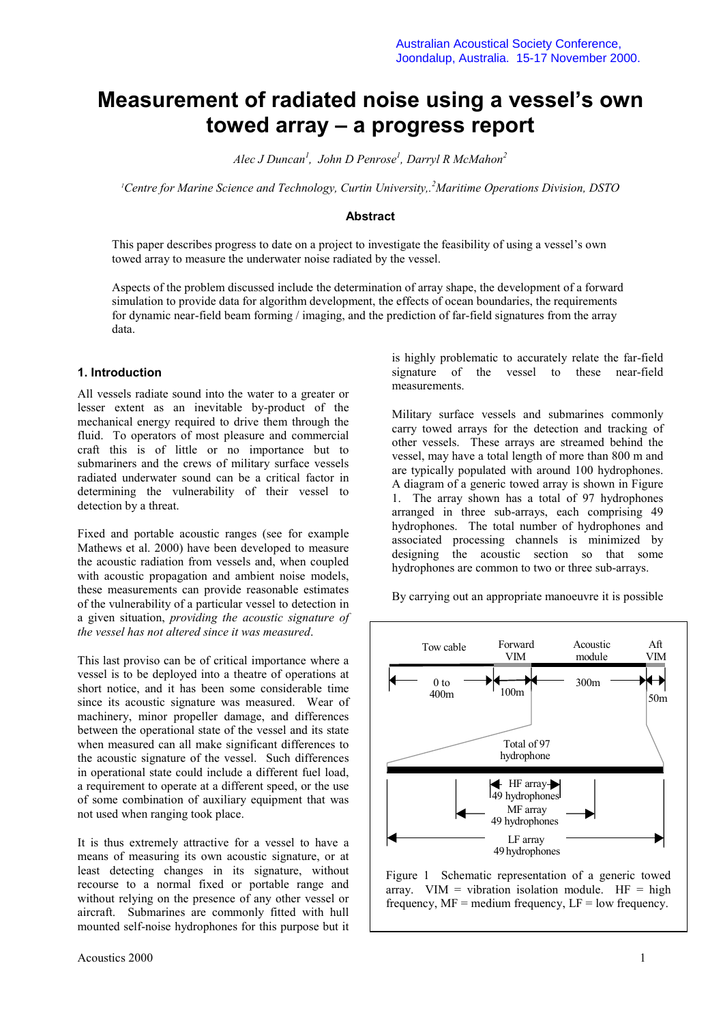# **Measurement of radiated noise using a vessel's own towed array – a progress report**

*Alec J Duncan<sup>1</sup> , John D Penrose<sup>1</sup> , Darryl R McMahon<sup>2</sup>*

*1 Centre for Marine Science and Technology, Curtin University,.<sup>2</sup> Maritime Operations Division, DSTO*

### **Abstract**

This paper describes progress to date on a project to investigate the feasibility of using a vessel's own towed array to measure the underwater noise radiated by the vessel.

Aspects of the problem discussed include the determination of array shape, the development of a forward simulation to provide data for algorithm development, the effects of ocean boundaries, the requirements for dynamic near-field beam forming / imaging, and the prediction of far-field signatures from the array data.

#### **1. Introduction**

All vessels radiate sound into the water to a greater or lesser extent as an inevitable by-product of the mechanical energy required to drive them through the fluid. To operators of most pleasure and commercial craft this is of little or no importance but to submariners and the crews of military surface vessels radiated underwater sound can be a critical factor in determining the vulnerability of their vessel to detection by a threat.

Fixed and portable acoustic ranges (see for example Mathews et al. 2000) have been developed to measure the acoustic radiation from vessels and, when coupled with acoustic propagation and ambient noise models, these measurements can provide reasonable estimates of the vulnerability of a particular vessel to detection in a given situation, *providing the acoustic signature of the vessel has not altered since it was measured*.

This last proviso can be of critical importance where a vessel is to be deployed into a theatre of operations at short notice, and it has been some considerable time since its acoustic signature was measured. Wear of machinery, minor propeller damage, and differences between the operational state of the vessel and its state when measured can all make significant differences to the acoustic signature of the vessel. Such differences in operational state could include a different fuel load, a requirement to operate at a different speed, or the use of some combination of auxiliary equipment that was not used when ranging took place.

It is thus extremely attractive for a vessel to have a means of measuring its own acoustic signature, or at least detecting changes in its signature, without recourse to a normal fixed or portable range and without relying on the presence of any other vessel or aircraft. Submarines are commonly fitted with hull mounted self-noise hydrophones for this purpose but it

is highly problematic to accurately relate the far-field signature of the vessel to these near-field measurements.

Military surface vessels and submarines commonly carry towed arrays for the detection and tracking of other vessels. These arrays are streamed behind the vessel, may have a total length of more than 800 m and are typically populated with around 100 hydrophones. A diagram of a generic towed array is shown in Figure 1. The array shown has a total of 97 hydrophones arranged in three sub-arrays, each comprising 49 hydrophones. The total number of hydrophones and associated processing channels is minimized by designing the acoustic section so that some hydrophones are common to two or three sub-arrays.

By carrying out an appropriate manoeuvre it is possible



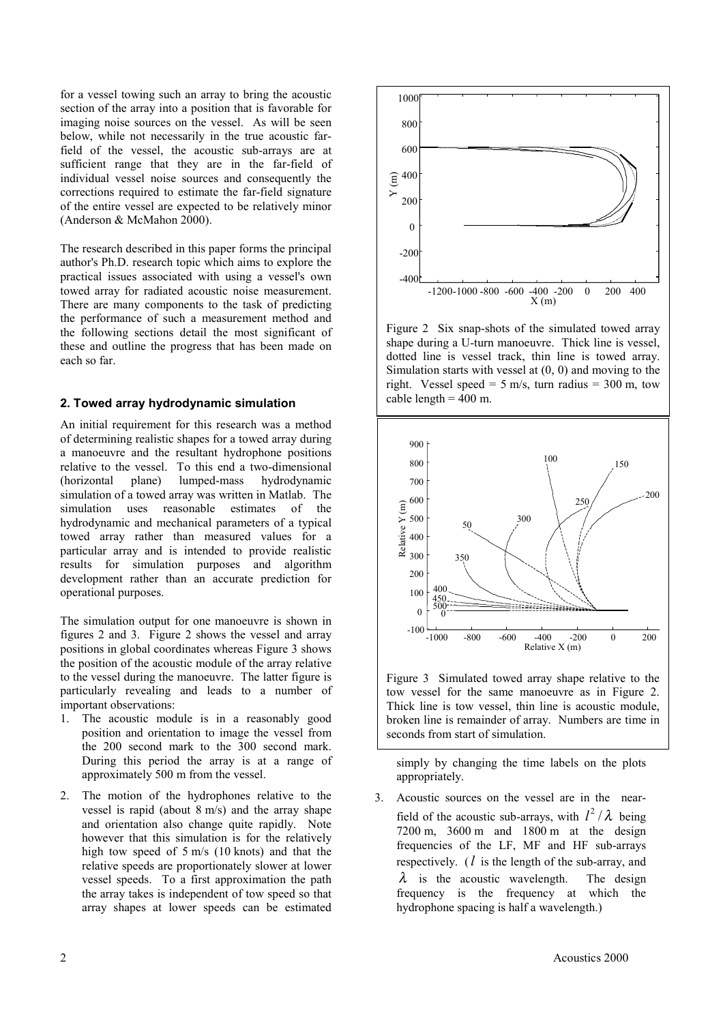for a vessel towing such an array to bring the acoustic section of the array into a position that is favorable for imaging noise sources on the vessel. As will be seen below, while not necessarily in the true acoustic farfield of the vessel, the acoustic sub-arrays are at sufficient range that they are in the far-field of individual vessel noise sources and consequently the corrections required to estimate the far-field signature of the entire vessel are expected to be relatively minor (Anderson & McMahon 2000).

The research described in this paper forms the principal author's Ph.D. research topic which aims to explore the practical issues associated with using a vessel's own towed array for radiated acoustic noise measurement. There are many components to the task of predicting the performance of such a measurement method and the following sections detail the most significant of these and outline the progress that has been made on each so far.

#### **2. Towed array hydrodynamic simulation**

An initial requirement for this research was a method of determining realistic shapes for a towed array during a manoeuvre and the resultant hydrophone positions relative to the vessel. To this end a two-dimensional (horizontal plane) lumped-mass hydrodynamic simulation of a towed array was written in Matlab. The simulation uses reasonable estimates of the hydrodynamic and mechanical parameters of a typical towed array rather than measured values for a particular array and is intended to provide realistic results for simulation purposes and algorithm development rather than an accurate prediction for operational purposes.

The simulation output for one manoeuvre is shown in figures 2 and 3. Figure 2 shows the vessel and array positions in global coordinates whereas Figure 3 shows the position of the acoustic module of the array relative to the vessel during the manoeuvre. The latter figure is particularly revealing and leads to a number of important observations:

- 1. The acoustic module is in a reasonably good position and orientation to image the vessel from the 200 second mark to the 300 second mark. During this period the array is at a range of approximately 500 m from the vessel.
- 2. The motion of the hydrophones relative to the vessel is rapid (about 8 m/s) and the array shape and orientation also change quite rapidly. Note however that this simulation is for the relatively high tow speed of 5 m/s (10 knots) and that the relative speeds are proportionately slower at lower vessel speeds. To a first approximation the path the array takes is independent of tow speed so that array shapes at lower speeds can be estimated



Figure 2 Six snap-shots of the simulated towed array shape during a U-turn manoeuvre. Thick line is vessel, dotted line is vessel track, thin line is towed array. Simulation starts with vessel at (0, 0) and moving to the right. Vessel speed = 5 m/s, turn radius = 300 m, tow cable length  $= 400$  m.



Figure 3 Simulated towed array shape relative to the tow vessel for the same manoeuvre as in Figure 2. Thick line is tow vessel, thin line is acoustic module, broken line is remainder of array. Numbers are time in seconds from start of simulation.

simply by changing the time labels on the plots appropriately.

3. Acoustic sources on the vessel are in the nearfield of the acoustic sub-arrays, with  $l^2/\lambda$  being 7200 m, 3600 m and 1800 m at the design frequencies of the LF, MF and HF sub-arrays respectively. (*l* is the length of the sub-array, and  $\lambda$  is the acoustic wavelength. The design frequency is the frequency at which the hydrophone spacing is half a wavelength.)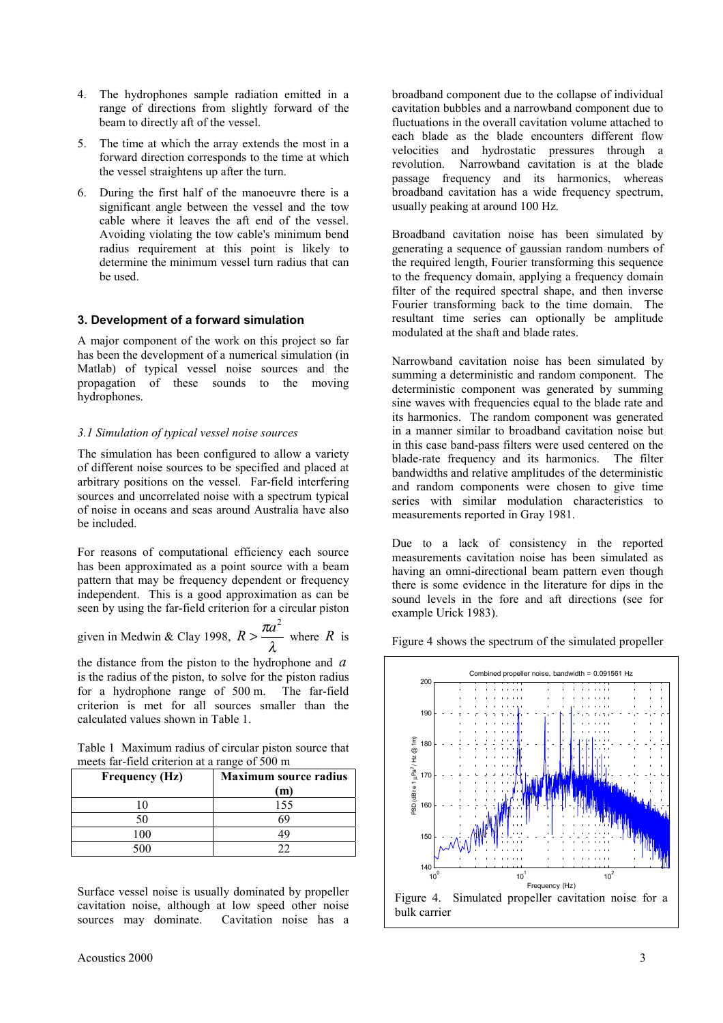- 4. The hydrophones sample radiation emitted in a range of directions from slightly forward of the beam to directly aft of the vessel.
- 5. The time at which the array extends the most in a forward direction corresponds to the time at which the vessel straightens up after the turn.
- 6. During the first half of the manoeuvre there is a significant angle between the vessel and the tow cable where it leaves the aft end of the vessel. Avoiding violating the tow cable's minimum bend radius requirement at this point is likely to determine the minimum vessel turn radius that can be used.

## **3. Development of a forward simulation**

A major component of the work on this project so far has been the development of a numerical simulation (in Matlab) of typical vessel noise sources and the propagation of these sounds to the moving hydrophones.

#### *3.1 Simulation of typical vessel noise sources*

The simulation has been configured to allow a variety of different noise sources to be specified and placed at arbitrary positions on the vessel. Far-field interfering sources and uncorrelated noise with a spectrum typical of noise in oceans and seas around Australia have also be included.

For reasons of computational efficiency each source has been approximated as a point source with a beam pattern that may be frequency dependent or frequency independent. This is a good approximation as can be seen by using the far-field criterion for a circular piston

given in Medium & Clay 1998, 
$$
R > \frac{\pi a^2}{\lambda}
$$
 where R is

the distance from the piston to the hydrophone and *a* is the radius of the piston, to solve for the piston radius for a hydrophone range of 500 m. The far-field for a hydrophone range of  $500$  m. criterion is met for all sources smaller than the calculated values shown in Table 1.

Table 1 Maximum radius of circular piston source that meets far-field criterion at a range of 500 m

| <b>Frequency (Hz)</b> | <b>Maximum source radius</b> |
|-----------------------|------------------------------|
|                       | (m)                          |
| 10                    | 155                          |
| 50                    |                              |
| l ()()                |                              |
|                       |                              |

Surface vessel noise is usually dominated by propeller cavitation noise, although at low speed other noise sources may dominate. Cavitation noise has a

broadband component due to the collapse of individual cavitation bubbles and a narrowband component due to fluctuations in the overall cavitation volume attached to each blade as the blade encounters different flow velocities and hydrostatic pressures through a revolution. Narrowband cavitation is at the blade passage frequency and its harmonics, whereas broadband cavitation has a wide frequency spectrum, usually peaking at around 100 Hz.

Broadband cavitation noise has been simulated by generating a sequence of gaussian random numbers of the required length, Fourier transforming this sequence to the frequency domain, applying a frequency domain filter of the required spectral shape, and then inverse Fourier transforming back to the time domain. The resultant time series can optionally be amplitude modulated at the shaft and blade rates.

Narrowband cavitation noise has been simulated by summing a deterministic and random component. The deterministic component was generated by summing sine waves with frequencies equal to the blade rate and its harmonics. The random component was generated in a manner similar to broadband cavitation noise but in this case band-pass filters were used centered on the blade-rate frequency and its harmonics. The filter bandwidths and relative amplitudes of the deterministic and random components were chosen to give time series with similar modulation characteristics to measurements reported in Gray 1981.

Due to a lack of consistency in the reported measurements cavitation noise has been simulated as having an omni-directional beam pattern even though there is some evidence in the literature for dips in the sound levels in the fore and aft directions (see for example Urick 1983).

Figure 4 shows the spectrum of the simulated propeller

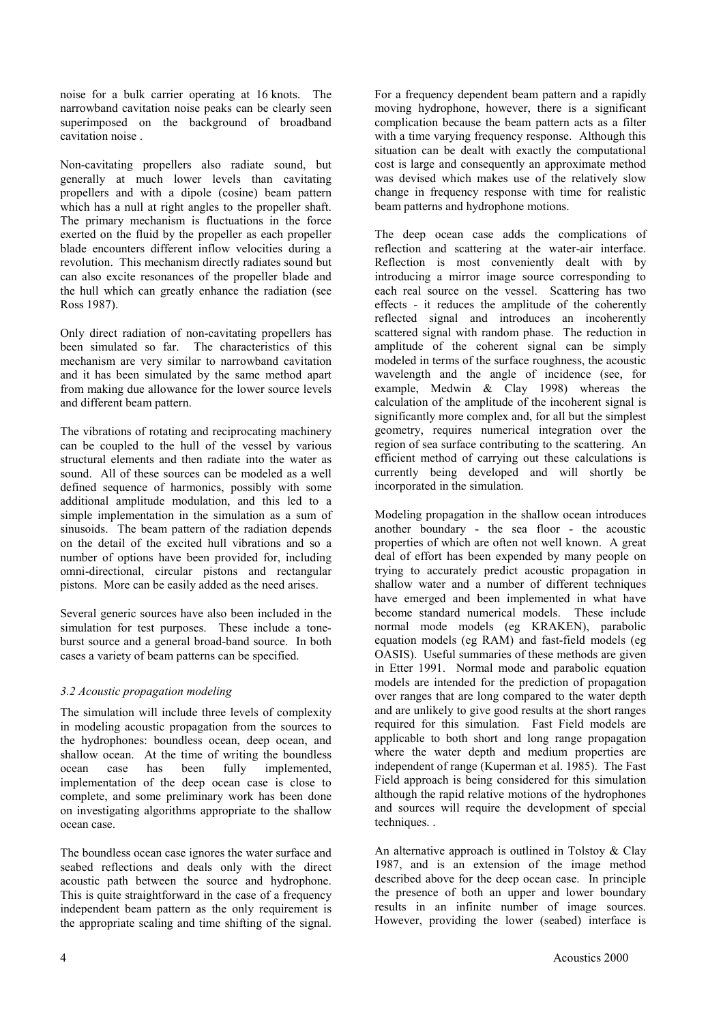noise for a bulk carrier operating at 16 knots. The narrowband cavitation noise peaks can be clearly seen superimposed on the background of broadband cavitation noise .

Non-cavitating propellers also radiate sound, but generally at much lower levels than cavitating propellers and with a dipole (cosine) beam pattern which has a null at right angles to the propeller shaft. The primary mechanism is fluctuations in the force exerted on the fluid by the propeller as each propeller blade encounters different inflow velocities during a revolution. This mechanism directly radiates sound but can also excite resonances of the propeller blade and the hull which can greatly enhance the radiation (see Ross 1987).

Only direct radiation of non-cavitating propellers has been simulated so far. The characteristics of this mechanism are very similar to narrowband cavitation and it has been simulated by the same method apart from making due allowance for the lower source levels and different beam pattern.

The vibrations of rotating and reciprocating machinery can be coupled to the hull of the vessel by various structural elements and then radiate into the water as sound. All of these sources can be modeled as a well defined sequence of harmonics, possibly with some additional amplitude modulation, and this led to a simple implementation in the simulation as a sum of sinusoids. The beam pattern of the radiation depends on the detail of the excited hull vibrations and so a number of options have been provided for, including omni-directional, circular pistons and rectangular pistons. More can be easily added as the need arises.

Several generic sources have also been included in the simulation for test purposes. These include a toneburst source and a general broad-band source. In both cases a variety of beam patterns can be specified.

# *3.2 Acoustic propagation modeling*

The simulation will include three levels of complexity in modeling acoustic propagation from the sources to the hydrophones: boundless ocean, deep ocean, and shallow ocean. At the time of writing the boundless ocean case has been fully implemented, implementation of the deep ocean case is close to complete, and some preliminary work has been done on investigating algorithms appropriate to the shallow ocean case.

The boundless ocean case ignores the water surface and seabed reflections and deals only with the direct acoustic path between the source and hydrophone. This is quite straightforward in the case of a frequency independent beam pattern as the only requirement is the appropriate scaling and time shifting of the signal.

For a frequency dependent beam pattern and a rapidly moving hydrophone, however, there is a significant complication because the beam pattern acts as a filter with a time varying frequency response. Although this situation can be dealt with exactly the computational cost is large and consequently an approximate method was devised which makes use of the relatively slow change in frequency response with time for realistic beam patterns and hydrophone motions.

The deep ocean case adds the complications of reflection and scattering at the water-air interface. Reflection is most conveniently dealt with by introducing a mirror image source corresponding to each real source on the vessel. Scattering has two effects - it reduces the amplitude of the coherently reflected signal and introduces an incoherently scattered signal with random phase. The reduction in amplitude of the coherent signal can be simply modeled in terms of the surface roughness, the acoustic wavelength and the angle of incidence (see, for example, Medwin & Clay 1998) whereas the calculation of the amplitude of the incoherent signal is significantly more complex and, for all but the simplest geometry, requires numerical integration over the region of sea surface contributing to the scattering. An efficient method of carrying out these calculations is currently being developed and will shortly be incorporated in the simulation.

Modeling propagation in the shallow ocean introduces another boundary - the sea floor - the acoustic properties of which are often not well known. A great deal of effort has been expended by many people on trying to accurately predict acoustic propagation in shallow water and a number of different techniques have emerged and been implemented in what have become standard numerical models. These include normal mode models (eg KRAKEN), parabolic equation models (eg RAM) and fast-field models (eg OASIS). Useful summaries of these methods are given in Etter 1991. Normal mode and parabolic equation models are intended for the prediction of propagation over ranges that are long compared to the water depth and are unlikely to give good results at the short ranges required for this simulation. Fast Field models are applicable to both short and long range propagation where the water depth and medium properties are independent of range (Kuperman et al. 1985). The Fast Field approach is being considered for this simulation although the rapid relative motions of the hydrophones and sources will require the development of special techniques. .

An alternative approach is outlined in Tolstoy & Clay 1987, and is an extension of the image method described above for the deep ocean case. In principle the presence of both an upper and lower boundary results in an infinite number of image sources. However, providing the lower (seabed) interface is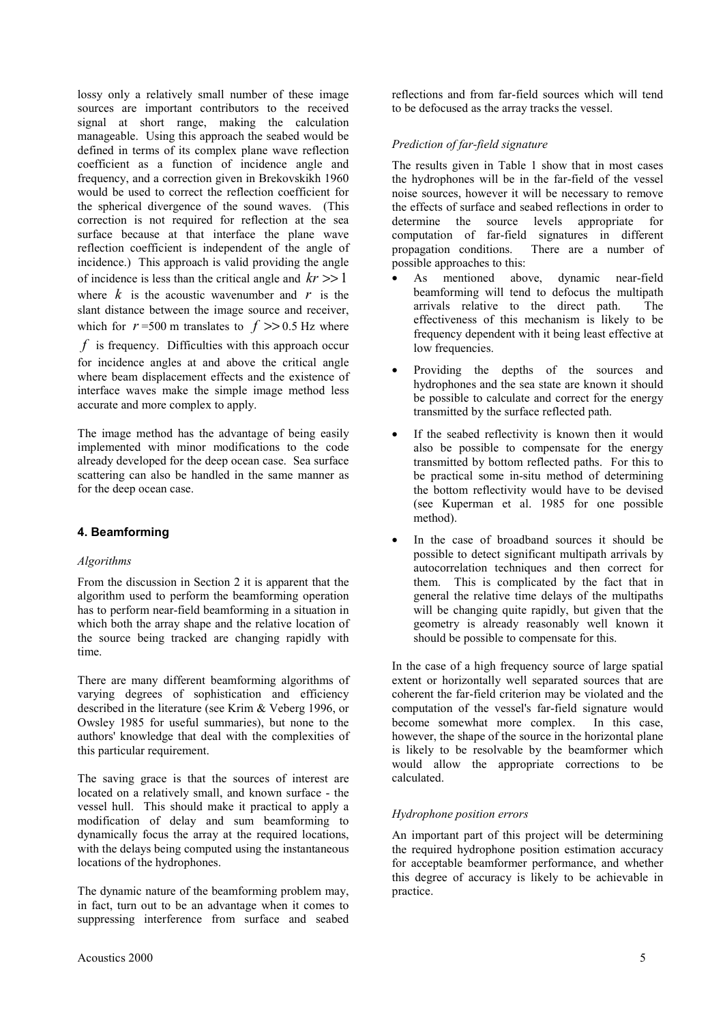lossy only a relatively small number of these image sources are important contributors to the received signal at short range, making the calculation manageable. Using this approach the seabed would be defined in terms of its complex plane wave reflection coefficient as a function of incidence angle and frequency, and a correction given in Brekovskikh 1960 would be used to correct the reflection coefficient for the spherical divergence of the sound waves. (This correction is not required for reflection at the sea surface because at that interface the plane wave reflection coefficient is independent of the angle of incidence.) This approach is valid providing the angle of incidence is less than the critical angle and  $kr \gg 1$ where  $k$  is the acoustic wavenumber and  $r$  is the slant distance between the image source and receiver, which for  $r = 500$  m translates to  $f \gg 0.5$  Hz where *f* is frequency. Difficulties with this approach occur for incidence angles at and above the critical angle where beam displacement effects and the existence of interface waves make the simple image method less accurate and more complex to apply.

The image method has the advantage of being easily implemented with minor modifications to the code already developed for the deep ocean case. Sea surface scattering can also be handled in the same manner as for the deep ocean case.

# **4. Beamforming**

# *Algorithms*

From the discussion in Section 2 it is apparent that the algorithm used to perform the beamforming operation has to perform near-field beamforming in a situation in which both the array shape and the relative location of the source being tracked are changing rapidly with time.

There are many different beamforming algorithms of varying degrees of sophistication and efficiency described in the literature (see Krim & Veberg 1996, or Owsley 1985 for useful summaries), but none to the authors' knowledge that deal with the complexities of this particular requirement.

The saving grace is that the sources of interest are located on a relatively small, and known surface - the vessel hull. This should make it practical to apply a modification of delay and sum beamforming to dynamically focus the array at the required locations, with the delays being computed using the instantaneous locations of the hydrophones.

The dynamic nature of the beamforming problem may, in fact, turn out to be an advantage when it comes to suppressing interference from surface and seabed

reflections and from far-field sources which will tend to be defocused as the array tracks the vessel.

# *Prediction of far-field signature*

The results given in Table 1 show that in most cases the hydrophones will be in the far-field of the vessel noise sources, however it will be necessary to remove the effects of surface and seabed reflections in order to determine the source levels appropriate for computation of far-field signatures in different propagation conditions. There are a number of possible approaches to this:

- As mentioned above, dynamic near-field beamforming will tend to defocus the multipath arrivals relative to the direct path. The effectiveness of this mechanism is likely to be frequency dependent with it being least effective at low frequencies.
- Providing the depths of the sources and hydrophones and the sea state are known it should be possible to calculate and correct for the energy transmitted by the surface reflected path.
- If the seabed reflectivity is known then it would also be possible to compensate for the energy transmitted by bottom reflected paths. For this to be practical some in-situ method of determining the bottom reflectivity would have to be devised (see Kuperman et al. 1985 for one possible method).
- In the case of broadband sources it should be possible to detect significant multipath arrivals by autocorrelation techniques and then correct for them. This is complicated by the fact that in general the relative time delays of the multipaths will be changing quite rapidly, but given that the geometry is already reasonably well known it should be possible to compensate for this.

In the case of a high frequency source of large spatial extent or horizontally well separated sources that are coherent the far-field criterion may be violated and the computation of the vessel's far-field signature would become somewhat more complex. In this case, however, the shape of the source in the horizontal plane is likely to be resolvable by the beamformer which would allow the appropriate corrections to be calculated.

# *Hydrophone position errors*

An important part of this project will be determining the required hydrophone position estimation accuracy for acceptable beamformer performance, and whether this degree of accuracy is likely to be achievable in practice.